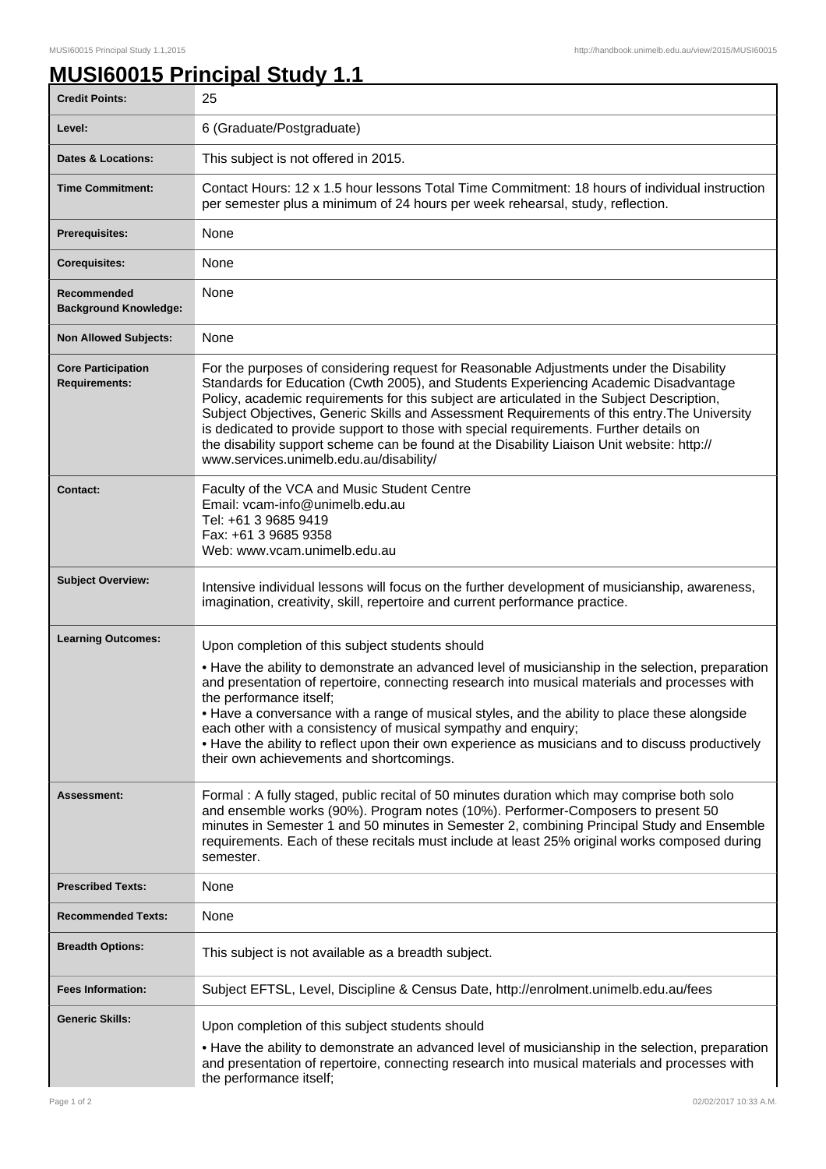## **MUSI60015 Principal Study 1.1**

| <b>Credit Points:</b>                             | 25                                                                                                                                                                                                                                                                                                                                                                                                                                                                                                                                                                                                               |
|---------------------------------------------------|------------------------------------------------------------------------------------------------------------------------------------------------------------------------------------------------------------------------------------------------------------------------------------------------------------------------------------------------------------------------------------------------------------------------------------------------------------------------------------------------------------------------------------------------------------------------------------------------------------------|
| Level:                                            | 6 (Graduate/Postgraduate)                                                                                                                                                                                                                                                                                                                                                                                                                                                                                                                                                                                        |
| <b>Dates &amp; Locations:</b>                     | This subject is not offered in 2015.                                                                                                                                                                                                                                                                                                                                                                                                                                                                                                                                                                             |
| <b>Time Commitment:</b>                           | Contact Hours: 12 x 1.5 hour lessons Total Time Commitment: 18 hours of individual instruction<br>per semester plus a minimum of 24 hours per week rehearsal, study, reflection.                                                                                                                                                                                                                                                                                                                                                                                                                                 |
| Prerequisites:                                    | None                                                                                                                                                                                                                                                                                                                                                                                                                                                                                                                                                                                                             |
| <b>Corequisites:</b>                              | None                                                                                                                                                                                                                                                                                                                                                                                                                                                                                                                                                                                                             |
| Recommended<br><b>Background Knowledge:</b>       | None                                                                                                                                                                                                                                                                                                                                                                                                                                                                                                                                                                                                             |
| <b>Non Allowed Subjects:</b>                      | None                                                                                                                                                                                                                                                                                                                                                                                                                                                                                                                                                                                                             |
| <b>Core Participation</b><br><b>Requirements:</b> | For the purposes of considering request for Reasonable Adjustments under the Disability<br>Standards for Education (Cwth 2005), and Students Experiencing Academic Disadvantage<br>Policy, academic requirements for this subject are articulated in the Subject Description,<br>Subject Objectives, Generic Skills and Assessment Requirements of this entry. The University<br>is dedicated to provide support to those with special requirements. Further details on<br>the disability support scheme can be found at the Disability Liaison Unit website: http://<br>www.services.unimelb.edu.au/disability/ |
| <b>Contact:</b>                                   | Faculty of the VCA and Music Student Centre<br>Email: vcam-info@unimelb.edu.au<br>Tel: +61 3 9685 9419<br>Fax: +61 3 9685 9358<br>Web: www.vcam.unimelb.edu.au                                                                                                                                                                                                                                                                                                                                                                                                                                                   |
| <b>Subject Overview:</b>                          | Intensive individual lessons will focus on the further development of musicianship, awareness,<br>imagination, creativity, skill, repertoire and current performance practice.                                                                                                                                                                                                                                                                                                                                                                                                                                   |
| <b>Learning Outcomes:</b>                         | Upon completion of this subject students should<br>• Have the ability to demonstrate an advanced level of musicianship in the selection, preparation<br>and presentation of repertoire, connecting research into musical materials and processes with<br>the performance itself;<br>• Have a conversance with a range of musical styles, and the ability to place these alongside<br>each other with a consistency of musical sympathy and enquiry;<br>• Have the ability to reflect upon their own experience as musicians and to discuss productively<br>their own achievements and shortcomings.              |
| <b>Assessment:</b>                                | Formal: A fully staged, public recital of 50 minutes duration which may comprise both solo<br>and ensemble works (90%). Program notes (10%). Performer-Composers to present 50<br>minutes in Semester 1 and 50 minutes in Semester 2, combining Principal Study and Ensemble<br>requirements. Each of these recitals must include at least 25% original works composed during<br>semester.                                                                                                                                                                                                                       |
| <b>Prescribed Texts:</b>                          | None                                                                                                                                                                                                                                                                                                                                                                                                                                                                                                                                                                                                             |
| <b>Recommended Texts:</b>                         | None                                                                                                                                                                                                                                                                                                                                                                                                                                                                                                                                                                                                             |
| <b>Breadth Options:</b>                           | This subject is not available as a breadth subject.                                                                                                                                                                                                                                                                                                                                                                                                                                                                                                                                                              |
| <b>Fees Information:</b>                          | Subject EFTSL, Level, Discipline & Census Date, http://enrolment.unimelb.edu.au/fees                                                                                                                                                                                                                                                                                                                                                                                                                                                                                                                             |
| <b>Generic Skills:</b>                            | Upon completion of this subject students should                                                                                                                                                                                                                                                                                                                                                                                                                                                                                                                                                                  |
|                                                   | • Have the ability to demonstrate an advanced level of musicianship in the selection, preparation<br>and presentation of repertoire, connecting research into musical materials and processes with<br>the performance itself;                                                                                                                                                                                                                                                                                                                                                                                    |